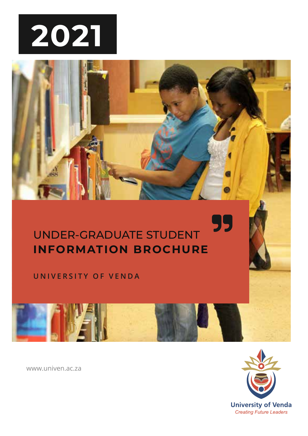

## 99 UNDER-GRADUATE STUDENT **INFORMATION BROCHURE**

**UNIVERSITY OF VENDA**



www.univen.ac.za

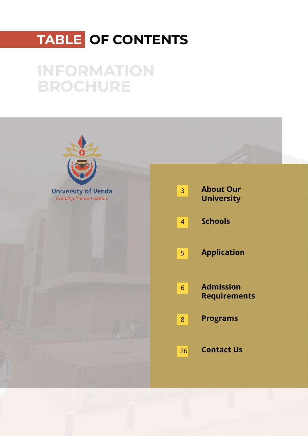## **TABLE OF CONTENTS**

## **INFORMATION BROCHURE**

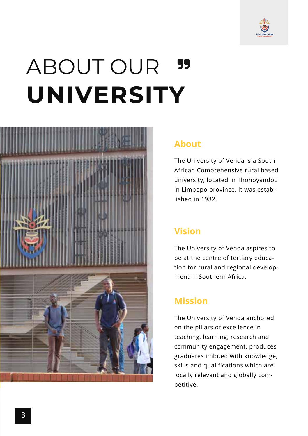

## ABOUT OUR 99 **UNIVERSITY**



### **About**

The University of Venda is a South African Comprehensive rural based university, located in Thohoyandou in Limpopo province. It was established in 1982.

## **Vision**

The University of Venda aspires to be at the centre of tertiary education for rural and regional development in Southern Africa.

## **Mission**

The University of Venda anchored on the pillars of excellence in teaching, learning, research and community engagement, produces graduates imbued with knowledge, skills and qualifications which are locally relevant and globally competitive.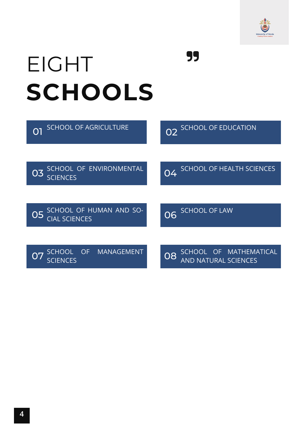

# EIGHT **SCHOOLS**

| <b>SCHOOL OF AGRICULTURE</b>                          | SCHOOL OF EDUCATION<br>02                                      |
|-------------------------------------------------------|----------------------------------------------------------------|
|                                                       |                                                                |
| SCHOOL OF ENVIRONMENTAL<br>03<br><b>SCIENCES</b>      | <b>SCHOOL OF HEALTH SCIENCES</b><br>04                         |
|                                                       |                                                                |
| SCHOOL OF HUMAN AND SO-<br>05<br><b>CIAL SCIENCES</b> | <b>SCHOOL OF LAW</b><br>$\overline{O}6$                        |
|                                                       |                                                                |
| <b>MANAGEMENT</b><br>OF<br><b>SCHOOL</b><br>SCIENCES  | OF MATHEMATICAL<br><b>SCHOOL</b><br>08<br>AND NATURAL SCIENCES |

**99**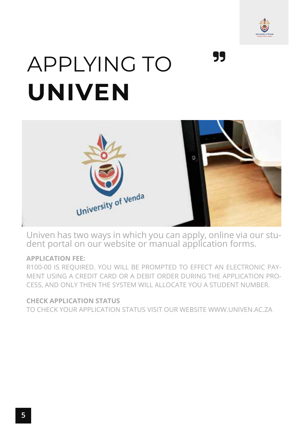

# 99 APPLYING TO **UNIVEN**



Univen has two ways in which you can apply, online via our student portal on our website or manual application forms.

#### **APPLICATION FEE:**

R100-00 IS REQUIRED. YOU WILL BE PROMPTED TO EFFECT AN ELECTRONIC PAY-MENT USING A CREDIT CARD OR A DEBIT ORDER DURING THE APPLICATION PRO-CESS, AND ONLY THEN THE SYSTEM WILL ALLOCATE YOU A STUDENT NUMBER.

#### **CHECK APPLICATION STATUS**

TO CHECK YOUR APPLICATION STATUS VISIT OUR WEBSITE WWW.UNIVEN.AC.ZA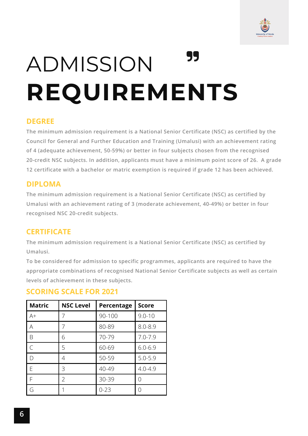

# 99 ADMISSION **REQUIREMENTS**

#### **DEGREE**

**The minimum admission requirement is a National Senior Certificate (NSC) as certified by the Council for General and Further Education and Training (Umalusi) with an achievement rating of 4 (adequate achievement, 50-59%) or better in four subjects chosen from the recognised 20-credit NSC subjects. In addition, applicants must have a minimum point score of 26. A grade 12 certificate with a bachelor or matric exemption is required if grade 12 has been achieved.**

#### **DIPLOMA**

**The minimum admission requirement is a National Senior Certificate (NSC) as certified by Umalusi with an achievement rating of 3 (moderate achievement, 40-49%) or better in four recognised NSC 20-credit subjects.**

### **CERTIFICATE**

**The minimum admission requirement is a National Senior Certificate (NSC) as certified by Umalusi.**

**To be considered for admission to specific programmes, applicants are required to have the appropriate combinations of recognised National Senior Certificate subjects as well as certain levels of achievement in these subjects.**

### **SCORING SCALE FOR 2021**

| Matric | <b>NSC Level</b> | Percentage | <b>Score</b> |
|--------|------------------|------------|--------------|
| $A+$   |                  | 90-100     | $9.0 - 10$   |
| A      |                  | 80-89      | $8.0 - 8.9$  |
| B      | 6                | 70-79      | $7.0 - 7.9$  |
| C      | 5                | 60-69      | $6.0 - 6.9$  |
| D      | 4                | 50-59      | $5.0 - 5.9$  |
| F      | 3                | 40-49      | $4.0 - 4.9$  |
| F      | $\mathcal{P}$    | 30-39      | Λ            |
| G      |                  | $0 - 23$   | Ω            |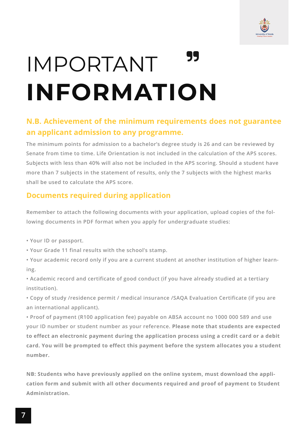

## 99 IMPORTANT **INFORMATION**

### **N.B. Achievement of the minimum requirements does not guarantee an applicant admission to any programme.**

**The minimum points for admission to a bachelor's degree study is 26 and can be reviewed by Senate from time to time. Life Orientation is not included in the calculation of the APS scores. Subjects with less than 40% will also not be included in the APS scoring. Should a student have more than 7 subjects in the statement of results, only the 7 subjects with the highest marks shall be used to calculate the APS score.**

### **Documents required during application**

**Remember to attach the following documents with your application, upload copies of the following documents in PDF format when you apply for undergraduate studies:**

- **Your ID or passport.**
- **Your Grade 11 final results with the school's stamp.**
- **Your academic record only if you are a current student at another institution of higher learning.**
- **Academic record and certificate of good conduct (if you have already studied at a tertiary institution).**
- **Copy of study /residence permit / medical insurance /SAQA Evaluation Certificate (if you are an international applicant).**
- **Proof of payment (R100 application fee) payable on ABSA account no 1000 000 589 and use your ID number or student number as your reference. Please note that students are expected to effect an electronic payment during the application process using a credit card or a debit card. You will be prompted to effect this payment before the system allocates you a student number.**

**NB: Students who have previously applied on the online system, must download the application form and submit with all other documents required and proof of payment to Student Administration.**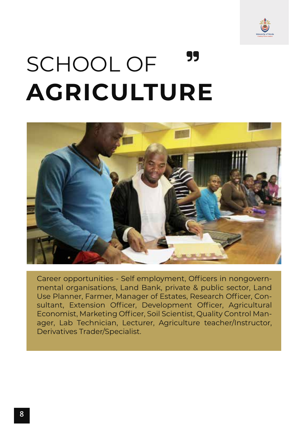

## 99 SCHOOL OF **AGRICULTURE**



Career opportunities - Self employment, Officers in nongovernmental organisations, Land Bank, private & public sector, Land Use Planner, Farmer, Manager of Estates, Research Officer, Consultant, Extension Officer, Development Officer, Agricultural Economist, Marketing Officer, Soil Scientist, Quality Control Manager, Lab Technician, Lecturer, Agriculture teacher/Instructor, Derivatives Trader/Specialist.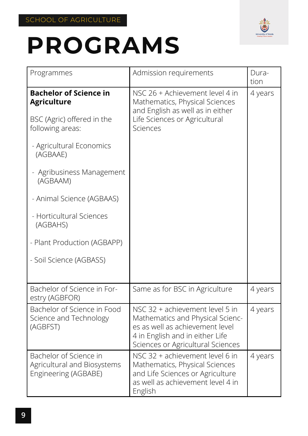

| Programmes                                                                                                                                                                                                                                                                                 | Admission requirements                                                                                                                                                         | Dura-<br>tion |
|--------------------------------------------------------------------------------------------------------------------------------------------------------------------------------------------------------------------------------------------------------------------------------------------|--------------------------------------------------------------------------------------------------------------------------------------------------------------------------------|---------------|
| <b>Bachelor of Science in</b><br><b>Agriculture</b><br>BSC (Agric) offered in the<br>following areas:<br>- Agricultural Economics<br>(AGBAAE)<br>- Agribusiness Management<br>(AGBAAM)<br>- Animal Science (AGBAAS)<br>- Horticultural Sciences<br>(AGBAHS)<br>- Plant Production (AGBAPP) | NSC 26 + Achievement level 4 in<br>Mathematics, Physical Sciences<br>and English as well as in either<br>Life Sciences or Agricultural<br>Sciences                             | 4 years       |
| - Soil Science (AGBASS)                                                                                                                                                                                                                                                                    |                                                                                                                                                                                |               |
| Bachelor of Science in For-<br>estry (AGBFOR)                                                                                                                                                                                                                                              | Same as for BSC in Agriculture                                                                                                                                                 | 4 years       |
| Bachelor of Science in Food<br>Science and Technology<br>(AGBFST)                                                                                                                                                                                                                          | NSC 32 + achievement level 5 in<br>Mathematics and Physical Scienc-<br>es as well as achievement level<br>4 in English and in either Life<br>Sciences or Agricultural Sciences | 4 years       |
| Bachelor of Science in<br>Agricultural and Biosystems<br>Engineering (AGBABE)                                                                                                                                                                                                              | NSC 32 + achievement level 6 in<br>Mathematics, Physical Sciences<br>and Life Sciences or Agriculture<br>as well as achievement level 4 in<br>English                          | 4 years       |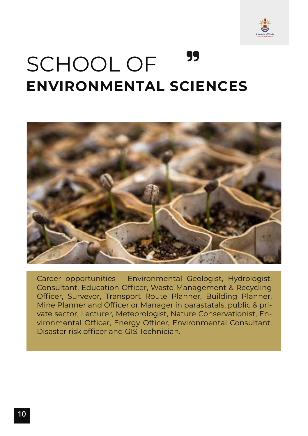

## 99 SCHOOL OF **ENVIRONMENTAL SCIENCES**



Career opportunities - Environmental Geologist, Hydrologist, Consultant, Education Officer, Waste Management & Recycling Officer, Surveyor, Transport Route Planner, Building Planner, Mine Planner and Officer or Manager in parastatals, public & private sector, Lecturer, Meteorologist, Nature Conservationist, Environmental Officer, Energy Officer, Environmental Consultant, Disaster risk officer and GIS Technician.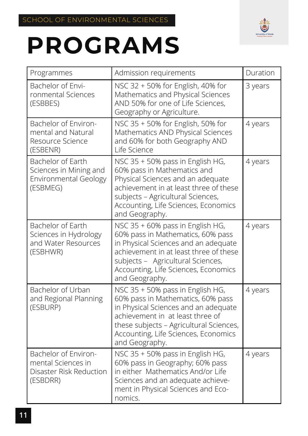

| Programmes                                                                              | Admission requirements                                                                                                                                                                                                                                 | Duration |
|-----------------------------------------------------------------------------------------|--------------------------------------------------------------------------------------------------------------------------------------------------------------------------------------------------------------------------------------------------------|----------|
| Bachelor of Envi-<br>ronmental Sciences<br>(ESBBES)                                     | NSC 32 + 50% for English, 40% for<br>Mathematics and Physical Sciences<br>AND 50% for one of Life Sciences,<br>Geography or Agriculture.                                                                                                               | 3 years  |
| Bachelor of Environ-<br>mental and Natural<br>Resource Science<br>(ESBENR)              | NSC 35 + 50% for English, 50% for<br>Mathematics AND Physical Sciences<br>and 60% for both Geography AND<br>Life Science                                                                                                                               | 4 years  |
| Bachelor of Earth<br>Sciences in Mining and<br><b>Environmental Geology</b><br>(ESBMEG) | NSC 35 + 50% pass in English HG,<br>60% pass in Mathematics and<br>Physical Sciences and an adequate<br>achievement in at least three of these<br>subjects - Agricultural Sciences,<br>Accounting, Life Sciences, Economics<br>and Geography.          | 4 years  |
| Bachelor of Earth<br>Sciences in Hydrology<br>and Water Resources<br>(ESBHWR)           | NSC 35 + 60% pass in English HG,<br>60% pass in Mathematics, 60% pass<br>in Physical Sciences and an adequate<br>achievement in at least three of these<br>subjects - Agricultural Sciences,<br>Accounting, Life Sciences, Economics<br>and Geography. | 4 years  |
| Bachelor of Urban<br>and Regional Planning<br>(ESBURP)                                  | NSC 35 + 50% pass in English HG,<br>60% pass in Mathematics, 60% pass<br>in Physical Sciences and an adequate<br>achievement in at least three of<br>these subjects - Agricultural Sciences,<br>Accounting, Life Sciences, Economics<br>and Geography. | 4 years  |
| Bachelor of Environ-<br>mental Sciences in<br>Disaster Risk Reduction<br>(ESBDRR)       | NSC 35 + 50% pass in English HG,<br>60% pass in Geography; 60% pass<br>in either Mathematics And/or Life<br>Sciences and an adequate achieve-<br>ment in Physical Sciences and Eco-<br>nomics.                                                         | 4 years  |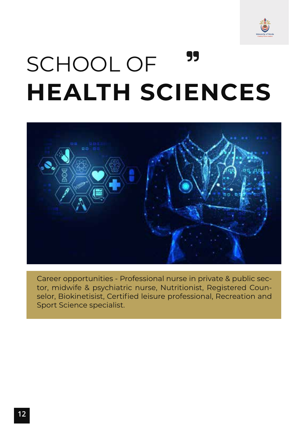

## 99 SCHOOL OF **HEALTH SCIENCES**



Career opportunities - Professional nurse in private & public sector, midwife & psychiatric nurse, Nutritionist, Registered Counselor, Biokinetisist, Certified leisure professional, Recreation and Sport Science specialist.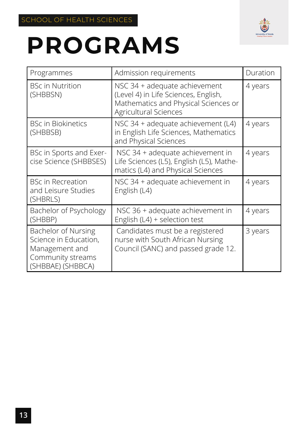

| Programmes                                                                                               | Admission requirements                                                                                                                 | Duration |
|----------------------------------------------------------------------------------------------------------|----------------------------------------------------------------------------------------------------------------------------------------|----------|
| <b>BSc in Nutrition</b><br>(SHBBSN)                                                                      | NSC 34 + adequate achievement<br>(Level 4) in Life Sciences, English,<br>Mathematics and Physical Sciences or<br>Agricultural Sciences | 4 years  |
| <b>BSc in Biokinetics</b><br>(SHBBSB)                                                                    | NSC 34 + adequate achievement (L4)<br>in English Life Sciences, Mathematics<br>and Physical Sciences                                   | 4 years  |
| BSc in Sports and Exer-<br>cise Science (SHBBSES)                                                        | NSC 34 + adequate achievement in<br>Life Sciences (L5), English (L5), Mathe-<br>matics (L4) and Physical Sciences                      | 4 years  |
| <b>BSc in Recreation</b><br>and Leisure Studies<br>(SHBRLS)                                              | NSC 34 + adequate achievement in<br>English (L4)                                                                                       | 4 years  |
| Bachelor of Psychology<br>(SHBBP)                                                                        | NSC 36 + adequate achievement in<br>English (L4) + selection test                                                                      | 4 years  |
| Bachelor of Nursing<br>Science in Education,<br>Management and<br>Community streams<br>(SHBBAE) (SHBBCA) | Candidates must be a registered<br>nurse with South African Nursing<br>Council (SANC) and passed grade 12.                             | 3 years  |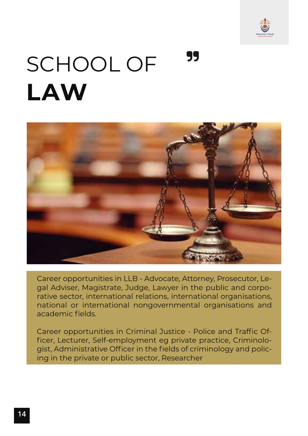

## 99 SCHOOL OF **LAW**



Career opportunities in LLB - Advocate, Attorney, Prosecutor, Legal Adviser, Magistrate, Judge, Lawyer in the public and corporative sector, international relations, international organisations, national or international nongovernmental organisations and academic fields.

Career opportunities in Criminal Justice - Police and Traffic Officer, Lecturer, Self-employment eg private practice, Criminologist, Administrative Officer in the fields of criminology and policing in the private or public sector, Researcher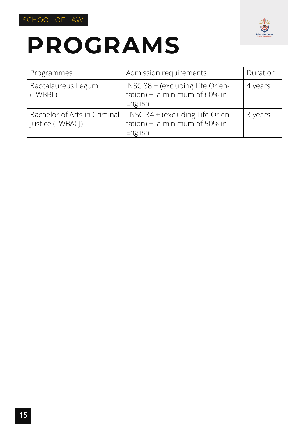



| Programmes                                       | Admission requirements                                                         | Duration |
|--------------------------------------------------|--------------------------------------------------------------------------------|----------|
| Baccalaureus Legum<br>(LWBBL)                    | NSC 38 + (excluding Life Orien-<br>$tation$ ) + a minimum of 60% in<br>English | 4 years  |
| Bachelor of Arts in Criminal<br>Justice (LWBACJ) | NSC 34 + (excluding Life Orien-<br>$tation$ ) + a minimum of 50% in<br>English | 3 years  |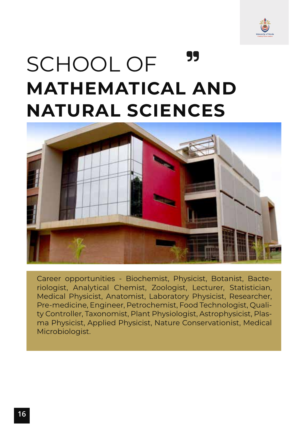

## 99 SCHOOL OF **MATHEMATICAL AND NATURAL SCIENCES**



Career opportunities - Biochemist, Physicist, Botanist, Bacteriologist, Analytical Chemist, Zoologist, Lecturer, Statistician, Medical Physicist, Anatomist, Laboratory Physicist, Researcher, Pre-medicine, Engineer, Petrochemist, Food Technologist, Quality Controller, Taxonomist, Plant Physiologist, Astrophysicist, Plasma Physicist, Applied Physicist, Nature Conservationist, Medical Microbiologist.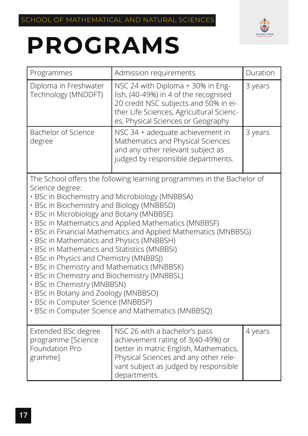

| Programmes                                                                                                                                                                                                                                                                                                                                                                                                                                                                                                        | Admission requirements                                                                                                                                                                                                                                   | Duration |
|-------------------------------------------------------------------------------------------------------------------------------------------------------------------------------------------------------------------------------------------------------------------------------------------------------------------------------------------------------------------------------------------------------------------------------------------------------------------------------------------------------------------|----------------------------------------------------------------------------------------------------------------------------------------------------------------------------------------------------------------------------------------------------------|----------|
| Diploma in Freshwater<br>Technology (MNDDFT)                                                                                                                                                                                                                                                                                                                                                                                                                                                                      | NSC 24 with Diploma + 30% in Eng-<br>lish, (40-49%) in 4 of the recognised<br>20 credit NSC subjects and 50% in ei-<br>ther Life Sciences, Agricultural Scienc-<br>es, Physical Sciences or Geography                                                    | 3 years  |
| <b>Bachelor of Science</b><br>degree                                                                                                                                                                                                                                                                                                                                                                                                                                                                              | NSC 34 + adequate achievement in<br>Mathematics and Physical Sciences<br>and any other relevant subject as<br>judged by responsible departments.                                                                                                         | 3 years  |
| Science degree:<br>· BSc in Biochemistry and Microbiology (MNBBSA)<br>· BSc in Biochemistry and Biology (MNBBSD)<br>· BSc in Microbiology and Botany (MNBBSE)<br>· BSc in Mathematics and Physics (MNBBSH)<br>· BSc in Mathematics and Statistics (MNBBSI)<br>· BSc in Physics and Chemistry (MNBBSJ)<br>· BSc in Chemistry and Mathematics (MNBBSK)<br>· BSc in Chemistry and Biochemistry (MNBBSL)<br>· BSc in Chemistry (MNBBSN)<br>· BSc in Botany and Zoology (MNBBSO)<br>· BSc in Computer Science (MNBBSP) | The School offers the following learning programmes in the Bachelor of<br>· BSc in Mathematics and Applied Mathematics (MNBBSF)<br>· BSc in Financial Mathematics and Applied Mathematics (MNBBSG)<br>· BSc in Computer Science and Mathematics (MNBBSQ) |          |
| Extended BSc degree<br>programme [Science<br>Foundation Pro-<br>gramme]                                                                                                                                                                                                                                                                                                                                                                                                                                           | NSC 26 with a bachelor's pass<br>achievement rating of 3(40-49%) or<br>better in matric English, Mathematics,<br>Physical Sciences and any other rele-<br>vant subject as judged by responsible<br>departments.                                          | 4 years  |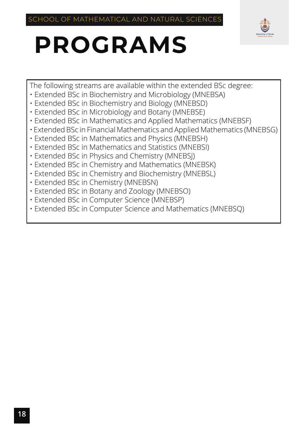

The following streams are available within the extended BSc degree:

- Extended BSc in Biochemistry and Microbiology (MNEBSA)
- Extended BSc in Biochemistry and Biology (MNEBSD)
- Extended BSc in Microbiology and Botany (MNEBSE)
- Extended BSc in Mathematics and Applied Mathematics (MNEBSF)
- Extended BSc in Financial Mathematics and Applied Mathematics (MNEBSG)
- Extended BSc in Mathematics and Physics (MNEBSH)
- Extended BSc in Mathematics and Statistics (MNEBSI)
- Extended BSc in Physics and Chemistry (MNEBSJ)
- Extended BSc in Chemistry and Mathematics (MNEBSK)
- Extended BSc in Chemistry and Biochemistry (MNEBSL)
- Extended BSc in Chemistry (MNEBSN)
- Extended BSc in Botany and Zoology (MNEBSO)
- Extended BSc in Computer Science (MNEBSP)
- Extended BSc in Computer Science and Mathematics (MNEBSQ)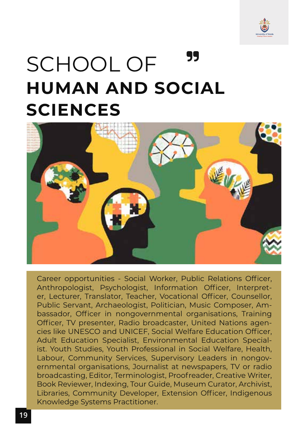

## 99 SCHOOL OF **HUMAN AND SOCIAL SCIENCES**



Career opportunities - Social Worker, Public Relations Officer, Anthropologist, Psychologist, Information Officer, Interpreter, Lecturer, Translator, Teacher, Vocational Officer, Counsellor, Public Servant, Archaeologist, Politician, Music Composer, Ambassador, Officer in nongovernmental organisations, Training Officer, TV presenter, Radio broadcaster, United Nations agencies like UNESCO and UNICEF, Social Welfare Education Officer, Adult Education Specialist, Environmental Education Specialist. Youth Studies, Youth Professional in Social Welfare, Health, Labour, Community Services, Supervisory Leaders in nongovernmental organisations, Journalist at newspapers, TV or radio broadcasting, Editor, Terminologist, Proofreader, Creative Writer, Book Reviewer, Indexing, Tour Guide, Museum Curator, Archivist, Libraries, Community Developer, Extension Officer, Indigenous Knowledge Systems Practitioner.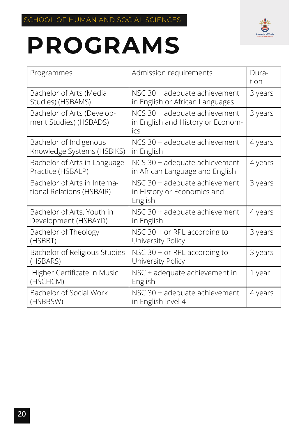

| Programmes                                                | Admission requirements                                                    | Dura-<br>tion |
|-----------------------------------------------------------|---------------------------------------------------------------------------|---------------|
| Bachelor of Arts (Media<br>Studies) (HSBAMS)              | NSC 30 + adequate achievement<br>in English or African Languages          | 3 years       |
| Bachelor of Arts (Develop-<br>ment Studies) (HSBADS)      | NCS 30 + adequate achievement<br>in English and History or Econom-<br>ics | 3 years       |
| Bachelor of Indigenous<br>Knowledge Systems (HSBIKS)      | NCS 30 + adequate achievement<br>in English                               | 4 years       |
| Bachelor of Arts in Language<br>Practice (HSBALP)         | NCS 30 + adequate achievement<br>in African Language and English          | 4 years       |
| Bachelor of Arts in Interna-<br>tional Relations (HSBAIR) | NSC 30 + adequate achievement<br>in History or Economics and<br>English   | 3 years       |
| Bachelor of Arts, Youth in<br>Development (HSBAYD)        | NSC 30 + adequate achievement<br>in English                               | 4 years       |
| Bachelor of Theology<br>(HSBBT)                           | NSC $30 + or RPL according to$<br>University Policy                       | 3 years       |
| Bachelor of Religious Studies<br>(HSBARS)                 | NSC $30 + or RPL according to$<br>University Policy                       | 3 years       |
| Higher Certificate in Music<br>(HSCHCM)                   | NSC + adequate achievement in<br>English                                  | 1 year        |
| Bachelor of Social Work<br>(HSBBSW)                       | NSC 30 + adequate achievement<br>in English level 4                       | 4 years       |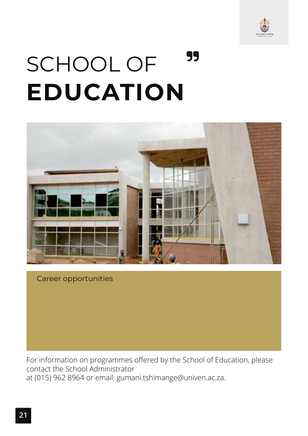

## 99 SCHOOL OF **EDUCATION**



#### Career opportunities

For information on programmes offered by the School of Education, please contact the School Administrator at (015) 962 8964 or email: gumani.tshimange@univen.ac.za.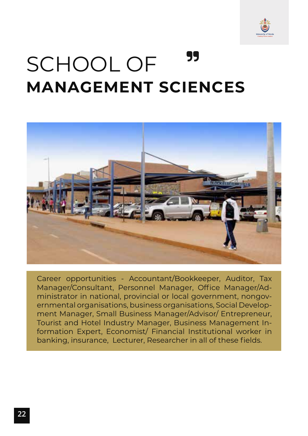

## 99 SCHOOL OF **MANAGEMENT SCIENCES**



Career opportunities - Accountant/Bookkeeper, Auditor, Tax Manager/Consultant, Personnel Manager, Office Manager/Administrator in national, provincial or local government, nongovernmental organisations, business organisations, Social Development Manager, Small Business Manager/Advisor/ Entrepreneur, Tourist and Hotel Industry Manager, Business Management Information Expert, Economist/ Financial Institutional worker in banking, insurance, Lecturer, Researcher in all of these fields.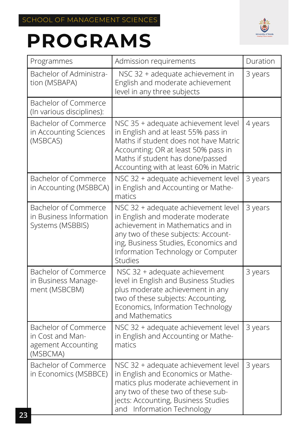

| Programmes                                                                 | Admission requirements                                                                                                                                                                                                                       | Duration |
|----------------------------------------------------------------------------|----------------------------------------------------------------------------------------------------------------------------------------------------------------------------------------------------------------------------------------------|----------|
| Bachelor of Administra-<br>tion (MSBAPA)                                   | NSC 32 + adequate achievement in<br>English and moderate achievement<br>level in any three subjects                                                                                                                                          | 3 years  |
| Bachelor of Commerce<br>(In various disciplines):                          |                                                                                                                                                                                                                                              |          |
| Bachelor of Commerce<br>in Accounting Sciences<br>(MSBCAS)                 | NSC 35 + adequate achievement level<br>in English and at least 55% pass in<br>Maths if student does not have Matric<br>Accounting; OR at least 50% pass in<br>Maths if student has done/passed<br>Accounting with at least 60% in Matric     | 4 years  |
| <b>Bachelor of Commerce</b><br>in Accounting (MSBBCA)                      | NSC 32 + adequate achievement level<br>in English and Accounting or Mathe-<br>matics                                                                                                                                                         | 3 years  |
| <b>Bachelor of Commerce</b><br>in Business Information<br>Systems (MSBBIS) | NSC 32 + adequate achievement level<br>in English and moderate moderate<br>achievement in Mathematics and in<br>any two of these subjects: Account-<br>ing, Business Studies, Economics and<br>Information Technology or Computer<br>Studies | 3 years  |
| Bachelor of Commerce<br>in Business Manage-<br>ment (MSBCBM)               | NSC 32 + adequate achievement<br>level in English and Business Studies<br>plus moderate achievement in any<br>two of these subjects: Accounting,<br>Economics, Information Technology<br>and Mathematics                                     | 3 years  |
| Bachelor of Commerce<br>in Cost and Man-<br>agement Accounting<br>(MSBCMA) | NSC 32 + adequate achievement level<br>in English and Accounting or Mathe-<br>matics                                                                                                                                                         | 3 years  |
| <b>Bachelor of Commerce</b><br>in Economics (MSBBCE)                       | NSC 32 + adequate achievement level<br>in English and Economics or Mathe-<br>matics plus moderate achievement in<br>any two of these two of these sub-<br>jects: Accounting, Business Studies<br>and Information Technology                  | 3 years  |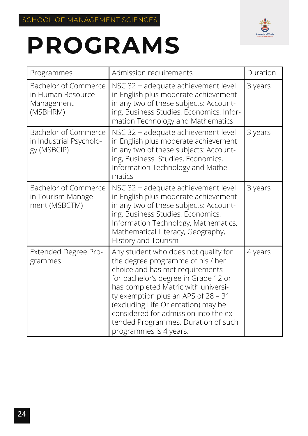

| Programmes                                                          | Admission requirements                                                                                                                                                                                                                                                                                                                                                              | Duration |
|---------------------------------------------------------------------|-------------------------------------------------------------------------------------------------------------------------------------------------------------------------------------------------------------------------------------------------------------------------------------------------------------------------------------------------------------------------------------|----------|
| Bachelor of Commerce<br>in Human Resource<br>Management<br>(MSBHRM) | NSC 32 + adequate achievement level<br>in English plus moderate achievement<br>in any two of these subjects: Account-<br>ing, Business Studies, Economics, Infor-<br>mation Technology and Mathematics                                                                                                                                                                              | 3 years  |
| Bachelor of Commerce<br>in Industrial Psycholo-<br>gy (MSBCIP)      | NSC 32 + adequate achievement level<br>in English plus moderate achievement<br>in any two of these subjects: Account-<br>ing, Business Studies, Economics,<br>Information Technology and Mathe-<br>matics                                                                                                                                                                           | 3 years  |
| Bachelor of Commerce<br>in Tourism Manage-<br>ment (MSBCTM)         | NSC 32 + adequate achievement level<br>in English plus moderate achievement<br>in any two of these subjects: Account-<br>ing, Business Studies, Economics,<br>Information Technology, Mathematics,<br>Mathematical Literacy, Geography,<br>History and Tourism                                                                                                                      | 3 years  |
| <b>Extended Degree Pro-</b><br>grammes                              | Any student who does not qualify for<br>the degree programme of his / her<br>choice and has met requirements<br>for bachelor's degree in Grade 12 or<br>has completed Matric with universi-<br>ty exemption plus an APS of 28 - 31<br>(excluding Life Orientation) may be<br>considered for admission into the ex-<br>tended Programmes. Duration of such<br>programmes is 4 years. | 4 years  |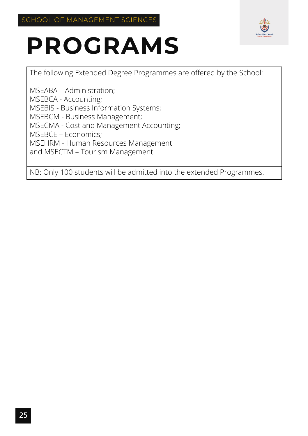

The following Extended Degree Programmes are offered by the School:

MSEABA – Administration; MSEBCA - Accounting; MSEBIS - Business Information Systems; MSEBCM - Business Management; MSECMA - Cost and Management Accounting; MSEBCE – Economics; MSEHRM - Human Resources Management and MSECTM – Tourism Management

NB: Only 100 students will be admitted into the extended Programmes.